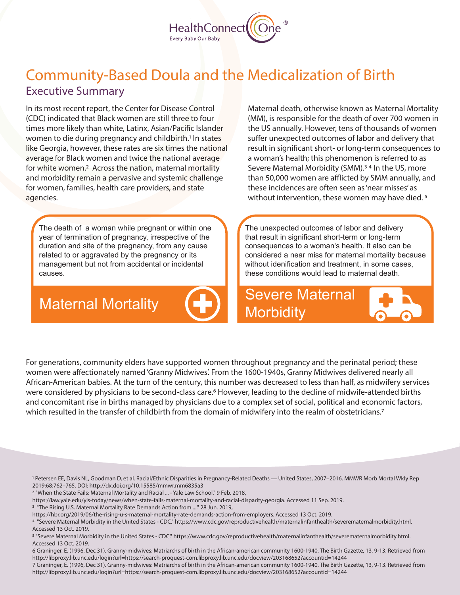

## Executive Summary Community-Based Doula and the Medicalization of Birth

In its most recent report, the Center for Disease Control (CDC) indicated that Black women are still three to four times more likely than white, Latinx, Asian/Pacific Islander women to die during pregnancy and childbirth.<sup>1</sup> In states like Georgia, however, these rates are six times the national average for Black women and twice the national average for white women.<sup>2</sup> Across the nation, maternal mortality and morbidity remain a pervasive and systemic challenge for women, families, health care providers, and state agencies.

The death of a woman while pregnant or within one year of termination of pregnancy, irrespective of the duration and site of the pregnancy, from any cause related to or aggravated by the pregnancy or its management but not from accidental or incidental causes.

Maternal Mortality



Maternal death, otherwise known as Maternal Mortality (MM), is responsible for the death of over 700 women in the US annually. However, tens of thousands of women suffer unexpected outcomes of labor and delivery that result in significant short- or long-term consequences to a woman's health; this phenomenon is referred to as Severe Maternal Morbidity (SMM).<sup>34</sup> In the US, more than 50,000 women are afflicted by SMM annually, and these incidences are often seen as 'near misses' as without intervention, these women may have died.<sup>5</sup>

The unexpected outcomes of labor and delivery that result in significant short-term or long-term consequences to a woman's health. It also can be considered a near miss for maternal mortality because without idenification and treatment, in some cases. these conditions would lead to maternal death.

Severe Maternal **Morbidity** 

For generations, community elders have supported women throughout pregnancy and the perinatal period; these women were affectionately named 'Granny Midwives'. From the 1600-1940s, Granny Midwives delivered nearly all African-American babies. At the turn of the century, this number was decreased to less than half, as midwifery services were considered by physicians to be second-class care.<sup>6</sup> However, leading to the decline of midwife-attended births and concomitant rise in births managed by physicians due to a complex set of social, political and economic factors, which resulted in the transfer of childbirth from the domain of midwifery into the realm of obstetricians.<sup>7</sup>

1 Petersen EE, Davis NL, Goodman D, et al. Racial/Ethnic Disparities in Pregnancy-Related Deaths — United States, 2007–2016. MMWR Morb Mortal Wkly Rep 2019;68:762–765. DOI: http://dx.doi.org/10.15585/mmwr.mm6835a3

2 "When the State Fails: Maternal Mortality and Racial ... - Yale Law School." 9 Feb. 2018,

https://law.yale.edu/yls-today/news/when-state-fails-maternal-mortality-and-racial-disparity-georgia. Accessed 11 Sep. 2019.

<sup>3</sup> "The Rising U.S. Maternal Mortality Rate Demands Action from ...." 28 Jun. 2019,

https://hbr.org/2019/06/the-rising-u-s-maternal-mortality-rate-demands-action-from-employers. Accessed 13 Oct. 2019.

4 "Severe Maternal Morbidity in the United States - CDC." https://www.cdc.gov/reproductivehealth/maternalinfanthealth/severematernalmorbidity.html. Accessed 13 Oct. 2019.

5 "Severe Maternal Morbidity in the United States - CDC." https://www.cdc.gov/reproductivehealth/maternalinfanthealth/severematernalmorbidity.html. Accessed 13 Oct. 2019.

6 Graninger, E. (1996, Dec 31). Granny-midwives: Matriarchs of birth in the African-american community 1600-1940. The Birth Gazette, 13, 9-13. Retrieved from http://libproxy.lib.unc.edu/login?url=https://search-proquest-com.libproxy.lib.unc.edu/docview/203168652?accountid=14244

7 Graninger, E. (1996, Dec 31). Granny-midwives: Matriarchs of birth in the African-american community 1600-1940. The Birth Gazette, 13, 9-13. Retrieved from http://libproxy.lib.unc.edu/login?url=https://search-proquest-com.libproxy.lib.unc.edu/docview/203168652?accountid=14244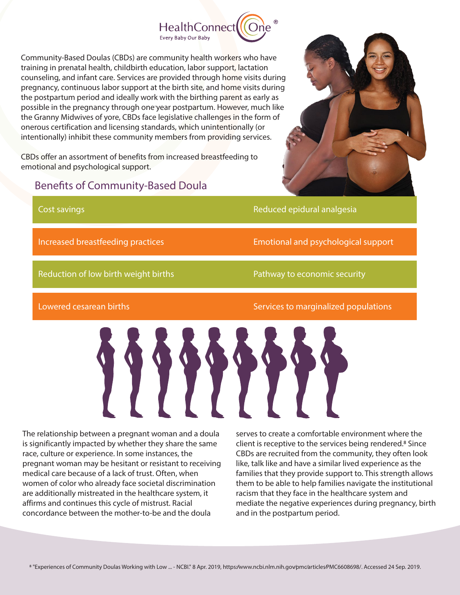

Community-Based Doulas (CBDs) are community health workers who have training in prenatal health, childbirth education, labor support, lactation counseling, and infant care. Services are provided through home visits during pregnancy, continuous labor support at the birth site, and home visits during the postpartum period and ideally work with the birthing parent as early as possible in the pregnancy through one year postpartum. However, much like the Granny Midwives of yore, CBDs face legislative challenges in the form of onerous certification and licensing standards, which unintentionally (or intentionally) inhibit these community members from providing services.

CBDs offer an assortment of benefits from increased breastfeeding to emotional and psychological support.

## Benefits of Community-Based Doula



Reduced epidural analgesia

Increased breastfeeding practices

Reduction of low birth weight births

Cost savings

Pathway to economic security

T

Lowered cesarean births

Services to marginalized populations

Emotional and psychological support

The relationship between a pregnant woman and a doula is significantly impacted by whether they share the same race, culture or experience. In some instances, the pregnant woman may be hesitant or resistant to receiving medical care because of a lack of trust. Often, when women of color who already face societal discrimination are additionally mistreated in the healthcare system, it affirms and continues this cycle of mistrust. Racial concordance between the mother-to-be and the doula

serves to create a comfortable environment where the client is receptive to the services being rendered.<sup>8</sup> Since CBDs are recruited from the community, they often look like, talk like and have a similar lived experience as the families that they provide support to. This strength allows them to be able to help families navigate the institutional racism that they face in the healthcare system and mediate the negative experiences during pregnancy, birth and in the postpartum period.